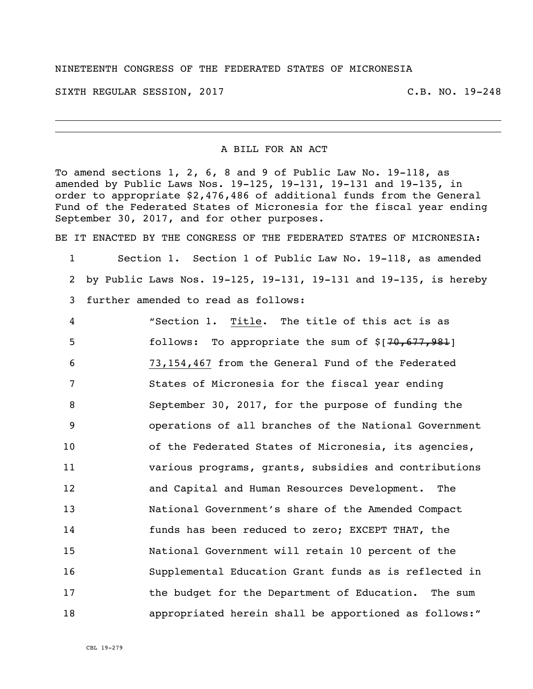## NINETEENTH CONGRESS OF THE FEDERATED STATES OF MICRONESIA

SIXTH REGULAR SESSION, 2017 C.B. NO. 19-248

## A BILL FOR AN ACT

To amend sections 1, 2, 6, 8 and 9 of Public Law No. 19-118, as amended by Public Laws Nos. 19-125, 19-131, 19-131 and 19-135, in order to appropriate \$2,476,486 of additional funds from the General Fund of the Federated States of Micronesia for the fiscal year ending September 30, 2017, and for other purposes.

BE IT ENACTED BY THE CONGRESS OF THE FEDERATED STATES OF MICRONESIA:

 Section 1. Section 1 of Public Law No. 19-118, as amended by Public Laws Nos. 19-125, 19-131, 19-131 and 19-135, is hereby further amended to read as follows:

| 4              | "Section 1. Title. The title of this act is as        |
|----------------|-------------------------------------------------------|
| 5              | follows: To appropriate the sum of $$[70,677,981]$    |
| 6              | 73,154,467 from the General Fund of the Federated     |
| 7              | States of Micronesia for the fiscal year ending       |
| 8              | September 30, 2017, for the purpose of funding the    |
| $\overline{9}$ | operations of all branches of the National Government |
| 10             | of the Federated States of Micronesia, its agencies,  |
| 11             | various programs, grants, subsidies and contributions |
| 12             | and Capital and Human Resources Development. The      |
| 13             | National Government's share of the Amended Compact    |
| 14             | funds has been reduced to zero; EXCEPT THAT, the      |
| 15             | National Government will retain 10 percent of the     |
| 16             | Supplemental Education Grant funds as is reflected in |
| 17             | the budget for the Department of Education. The sum   |
| 18             | appropriated herein shall be apportioned as follows:" |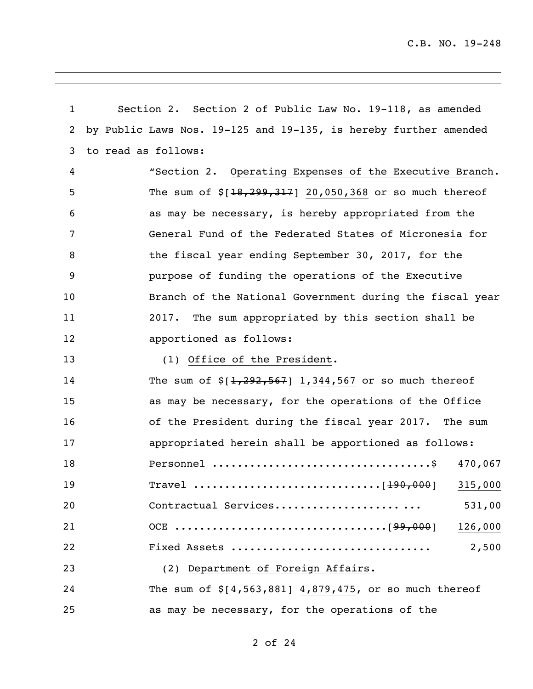| $\mathbf{1}$ | Section 2. Section 2 of Public Law No. 19-118, as amended        |  |  |
|--------------|------------------------------------------------------------------|--|--|
| 2            | by Public Laws Nos. 19-125 and 19-135, is hereby further amended |  |  |
| 3            | to read as follows:                                              |  |  |
| 4            | "Section 2. Operating Expenses of the Executive Branch.          |  |  |
| 5            | The sum of $$[18, 299, 317]$ 20,050,368 or so much thereof       |  |  |
| 6            | as may be necessary, is hereby appropriated from the             |  |  |
| 7            | General Fund of the Federated States of Micronesia for           |  |  |
| 8            | the fiscal year ending September 30, 2017, for the               |  |  |
| 9            | purpose of funding the operations of the Executive               |  |  |
| 10           | Branch of the National Government during the fiscal year         |  |  |
| 11           | The sum appropriated by this section shall be<br>2017.           |  |  |
| 12           | apportioned as follows:                                          |  |  |
| 13           | (1) Office of the President.                                     |  |  |
| 14           | The sum of $\S[1, 292, 567]$ 1,344,567 or so much thereof        |  |  |
| 15           | as may be necessary, for the operations of the Office            |  |  |
| 16           | of the President during the fiscal year 2017. The sum            |  |  |
| 17           | appropriated herein shall be apportioned as follows:             |  |  |
| 18           | 470,067                                                          |  |  |
| 19           | 315,000                                                          |  |  |
| 20           | Contractual Services<br>531,00                                   |  |  |
| 21           | 126,000                                                          |  |  |
| 22           | 2,500<br>Fixed Assets                                            |  |  |
| 23           | (2) Department of Foreign Affairs.                               |  |  |
| 24           | The sum of $$[4,563,881]$ 4,879,475, or so much thereof          |  |  |
| 25           | as may be necessary, for the operations of the                   |  |  |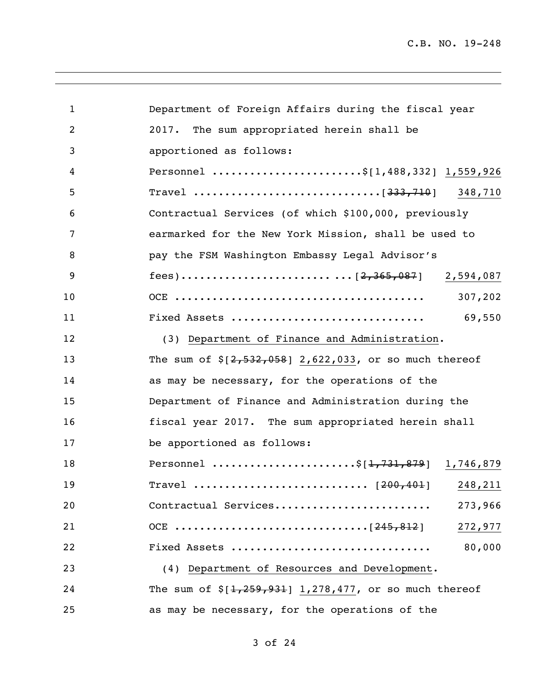| 1  | Department of Foreign Affairs during the fiscal year       |
|----|------------------------------------------------------------|
| 2  | The sum appropriated herein shall be<br>2017.              |
| 3  | apportioned as follows:                                    |
| 4  | Personnel \$[1,488,332] 1,559,926                          |
| 5  |                                                            |
| 6  | Contractual Services (of which \$100,000, previously       |
| 7  | earmarked for the New York Mission, shall be used to       |
| 8  | pay the FSM Washington Embassy Legal Advisor's             |
| 9  |                                                            |
| 10 | 307,202                                                    |
| 11 | 69,550<br>Fixed Assets                                     |
| 12 | (3) Department of Finance and Administration.              |
| 13 | The sum of $\S[2, 532, 058]$ 2,622,033, or so much thereof |
| 14 | as may be necessary, for the operations of the             |
| 15 | Department of Finance and Administration during the        |
| 16 | fiscal year 2017. The sum appropriated herein shall        |
| 17 | be apportioned as follows:                                 |
| 18 | Personnel \$[ <del>1,731,879</del> ] 1,746,879             |
| 19 | Travel  [200,401] 248,211                                  |
| 20 | Contractual Services<br>273,966                            |
| 21 | 272,977                                                    |
| 22 | 80,000<br>Fixed Assets                                     |
| 23 | (4) Department of Resources and Development.               |
| 24 | The sum of $$[1,259,931]$ 1,278,477, or so much thereof    |
| 25 | as may be necessary, for the operations of the             |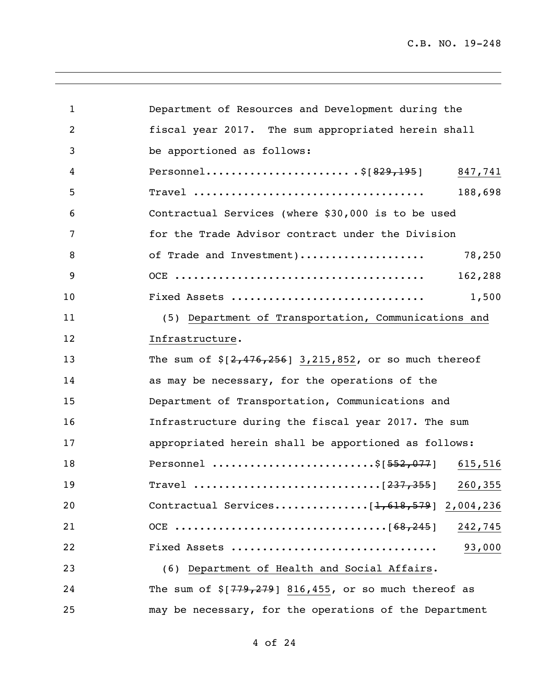| 1  | Department of Resources and Development during the         |
|----|------------------------------------------------------------|
| 2  | fiscal year 2017. The sum appropriated herein shall        |
| 3  | be apportioned as follows:                                 |
| 4  | Personnel\$[829,195] 847,741                               |
| 5  | 188,698                                                    |
| 6  | Contractual Services (where \$30,000 is to be used         |
| 7  | for the Trade Advisor contract under the Division          |
| 8  | of Trade and Investment)<br>78,250                         |
| 9  | 162,288                                                    |
| 10 | Fixed Assets<br>1,500                                      |
| 11 | (5) Department of Transportation, Communications and       |
| 12 | Infrastructure.                                            |
| 13 | The sum of $\S[2, 476, 256]$ 3,215,852, or so much thereof |
| 14 | as may be necessary, for the operations of the             |
| 15 | Department of Transportation, Communications and           |
| 16 | Infrastructure during the fiscal year 2017. The sum        |
| 17 | appropriated herein shall be apportioned as follows:       |
| 18 | Personnel \$[552,077] 615,516                              |
| 19 |                                                            |
| 20 |                                                            |
| 21 |                                                            |
| 22 | Fixed Assets<br>93,000                                     |
| 23 | (6) Department of Health and Social Affairs.               |
| 24 | The sum of $\S$ [779,279] 816,455, or so much thereof as   |
| 25 | may be necessary, for the operations of the Department     |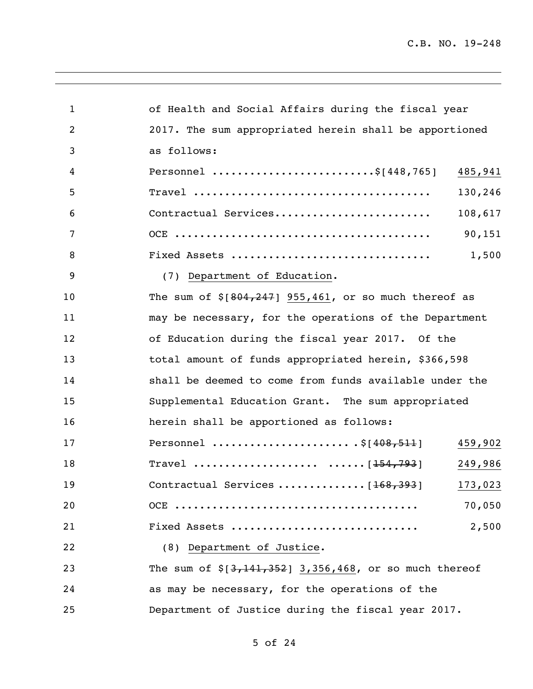| $\mathbf 1$    | of Health and Social Affairs during the fiscal year     |
|----------------|---------------------------------------------------------|
| $\overline{c}$ | 2017. The sum appropriated herein shall be apportioned  |
| 3              | as follows:                                             |
| 4              | Personnel \$[448,765]<br>485,941                        |
| 5              | 130,246                                                 |
| 6              | 108,617<br>Contractual Services                         |
| 7              | 90,151                                                  |
| 8              | Fixed Assets<br>1,500                                   |
| 9              | (7) Department of Education.                            |
| 10             | The sum of $$[804, 247]$ 955,461, or so much thereof as |
| 11             | may be necessary, for the operations of the Department  |
| 12             | of Education during the fiscal year 2017. Of the        |
| 13             | total amount of funds appropriated herein, \$366,598    |
| 14             | shall be deemed to come from funds available under the  |
| 15             | Supplemental Education Grant. The sum appropriated      |
| 16             | herein shall be apportioned as follows:                 |
| 17             | Personnel \$ [408,511]<br>459,902                       |
| 18             | Travel $[154, 793]$<br>249,986                          |
| 19             | 173,023                                                 |
| 20             | 70,050                                                  |
| 21             | Fixed Assets<br>2,500                                   |
| 22             | (8) Department of Justice.                              |
| 23             | The sum of $$[3,141,352]$ 3,356,468, or so much thereof |
| 24             | as may be necessary, for the operations of the          |
| 25             | Department of Justice during the fiscal year 2017.      |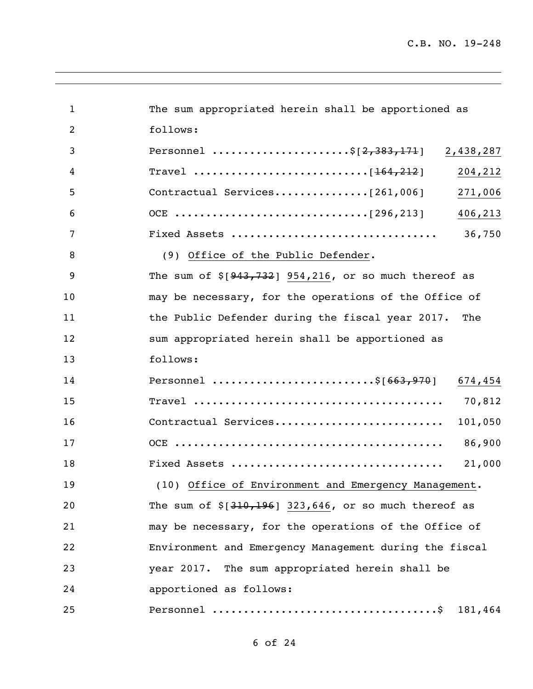| $\mathbf{1}$   | The sum appropriated herein shall be apportioned as      |
|----------------|----------------------------------------------------------|
| $\overline{2}$ | follows:                                                 |
| 3              | Personnel \$[2,383,171]<br>2,438,287                     |
| 4              | 204,212                                                  |
| 5              | 271,006                                                  |
| 6              | 406,213                                                  |
| 7              | 36,750                                                   |
| 8              | (9) Office of the Public Defender.                       |
| 9              | The sum of $$[943, 732]$ 954,216, or so much thereof as  |
| 10             | may be necessary, for the operations of the Office of    |
| 11             | the Public Defender during the fiscal year 2017.<br>The  |
| 12             | sum appropriated herein shall be apportioned as          |
| 13             | follows:                                                 |
| 14             | Personnel \$[663,970]<br>674,454                         |
| 15             | 70,812                                                   |
| 16             | Contractual Services<br>101,050                          |
| 17             | 86,900                                                   |
| 18             | 21,000                                                   |
| 19             | (10) Office of Environment and Emergency Management.     |
| 20             | The sum of $\S$ [310,196] 323,646, or so much thereof as |
| 21             | may be necessary, for the operations of the Office of    |
| 22             | Environment and Emergency Management during the fiscal   |
| 23             | year 2017. The sum appropriated herein shall be          |
| 24             | apportioned as follows:                                  |
| 25             | 181,464                                                  |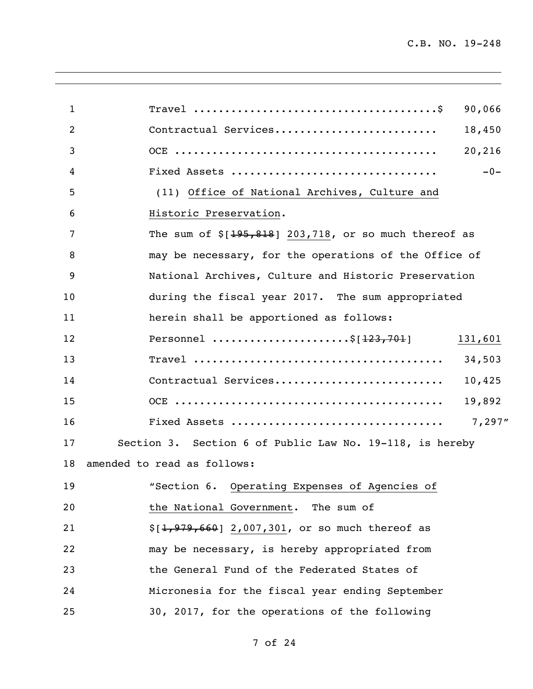| $\mathbf{1}$ | 90,066                                                   |
|--------------|----------------------------------------------------------|
| 2            | Contractual Services<br>18,450                           |
| 3            | 20,216                                                   |
| 4            | $-0-$                                                    |
| 5            | (11) Office of National Archives, Culture and            |
| 6            | Historic Preservation.                                   |
| 7            | The sum of $$[195,818]$ 203,718, or so much thereof as   |
| 8            | may be necessary, for the operations of the Office of    |
| 9            | National Archives, Culture and Historic Preservation     |
| 10           | during the fiscal year 2017. The sum appropriated        |
| 11           | herein shall be apportioned as follows:                  |
| 12           | Personnel \$[ <del>123,701</del> ]<br>131,601            |
| 13           | 34,503                                                   |
| 14           | Contractual Services<br>10,425                           |
| 15           | 19,892                                                   |
| 16           | 7,297"                                                   |
| 17           | Section 3. Section 6 of Public Law No. 19-118, is hereby |
| 18           | amended to read as follows:                              |
| 19           | "Section 6. Operating Expenses of Agencies of            |
| 20           | the National Government. The sum of                      |
| 21           | $$[1,979,660]$ 2,007,301, or so much thereof as          |
| 22           | may be necessary, is hereby appropriated from            |
| 23           | the General Fund of the Federated States of              |
| 24           | Micronesia for the fiscal year ending September          |
| 25           | 30, 2017, for the operations of the following            |
|              |                                                          |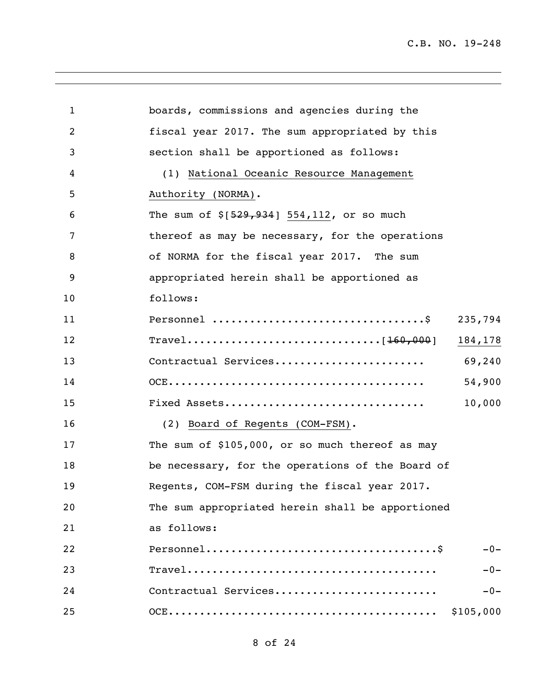| 1  | boards, commissions and agencies during the      |
|----|--------------------------------------------------|
| 2  | fiscal year 2017. The sum appropriated by this   |
| 3  | section shall be apportioned as follows:         |
| 4  | (1) National Oceanic Resource Management         |
| 5  | Authority (NORMA).                               |
| 6  | The sum of $\S[529, 934]$ 554,112, or so much    |
| 7  | thereof as may be necessary, for the operations  |
| 8  | of NORMA for the fiscal year 2017. The sum       |
| 9  | appropriated herein shall be apportioned as      |
| 10 | follows:                                         |
| 11 | 235,794                                          |
| 12 | 184,178                                          |
| 13 | 69,240<br>Contractual Services                   |
| 14 | 54,900                                           |
| 15 | 10,000<br>Fixed Assets                           |
| 16 | (2) Board of Regents (COM-FSM).                  |
| 17 | The sum of \$105,000, or so much thereof as may  |
| 18 | be necessary, for the operations of the Board of |
| 19 | Regents, COM-FSM during the fiscal year 2017.    |
| 20 | The sum appropriated herein shall be apportioned |
| 21 | as follows:                                      |
| 22 | $-0-$                                            |
| 23 | $-0-$                                            |
| 24 | Contractual Services<br>$-0-$                    |
| 25 | \$105,000                                        |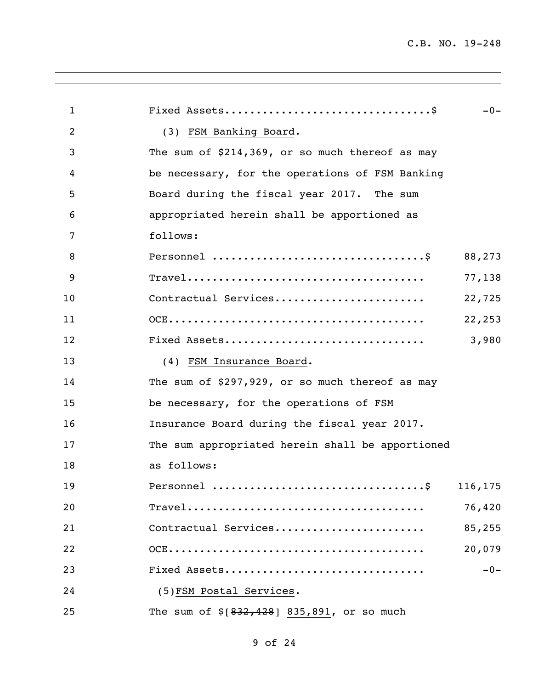| $\mathbf{1}$ | $-0-$                                            |
|--------------|--------------------------------------------------|
| 2            | (3) FSM Banking Board.                           |
| 3            | The sum of \$214,369, or so much thereof as may  |
| 4            | be necessary, for the operations of FSM Banking  |
| 5            | Board during the fiscal year 2017. The sum       |
| 6            | appropriated herein shall be apportioned as      |
| 7            | follows:                                         |
| 8            | 88,273                                           |
| 9            | 77,138                                           |
| 10           | Contractual Services<br>22,725                   |
| 11           | 22,253                                           |
| 12           | Fixed Assets<br>3,980                            |
| 13           | (4) FSM Insurance Board.                         |
| 14           | The sum of \$297,929, or so much thereof as may  |
| 15           | be necessary, for the operations of FSM          |
| 16           | Insurance Board during the fiscal year 2017.     |
| 17           | The sum appropriated herein shall be apportioned |
| 18           | as follows:                                      |
| 19           | Personnel<br>$\cdot$ \$<br>116,175               |
| 20           | 76,420                                           |
| 21           | Contractual Services<br>85,255                   |
| 22           | 20,079                                           |
| 23           | $-0-$<br>Fixed Assets                            |
| 24           | (5) FSM Postal Services.                         |
| 25           | The sum of $$[832, 428]$ 835,891, or so much     |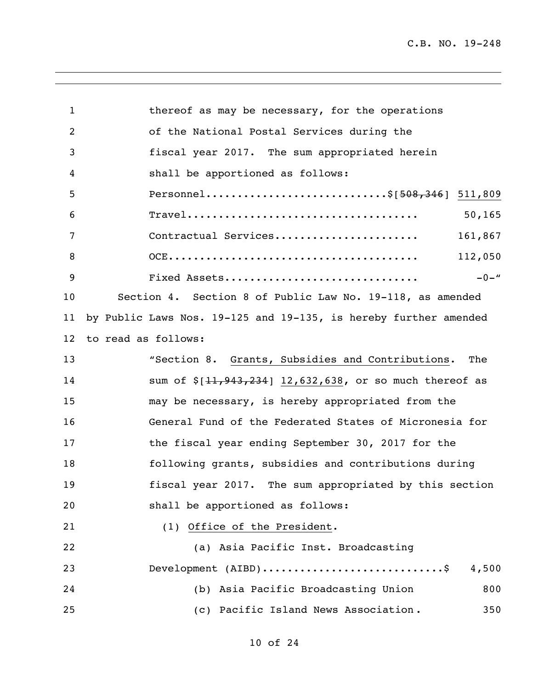| $\mathbf 1$     | thereof as may be necessary, for the operations                  |
|-----------------|------------------------------------------------------------------|
| 2               | of the National Postal Services during the                       |
| 3               | fiscal year 2017. The sum appropriated herein                    |
| 4               | shall be apportioned as follows:                                 |
| 5               | Personnel\$[508,346] 511,809                                     |
| 6               | 50, 165                                                          |
| 7               | Contractual Services<br>161,867                                  |
| 8               | 112,050                                                          |
| 9               | $-0-$ "<br>Fixed Assets                                          |
| 10              | Section 4. Section 8 of Public Law No. 19-118, as amended        |
| 11              | by Public Laws Nos. 19-125 and 19-135, is hereby further amended |
| 12 <sup>°</sup> | to read as follows:                                              |
| 13              | "Section 8. Grants, Subsidies and Contributions. The             |
| 14              | sum of $$[11, 943, 234]$ 12,632,638, or so much thereof as       |
| 15              | may be necessary, is hereby appropriated from the                |
| 16              | General Fund of the Federated States of Micronesia for           |
| 17              | the fiscal year ending September 30, 2017 for the                |
| 18              | following grants, subsidies and contributions during             |
| 19              | fiscal year 2017. The sum appropriated by this section           |
| 20              | shall be apportioned as follows:                                 |
| 21              | (1) Office of the President.                                     |
| 22              | (a) Asia Pacific Inst. Broadcasting                              |
| 23              | Development (AIBD)\$<br>4,500                                    |
| 24              | (b) Asia Pacific Broadcasting Union<br>800                       |
| 25              | (c) Pacific Island News Association.<br>350                      |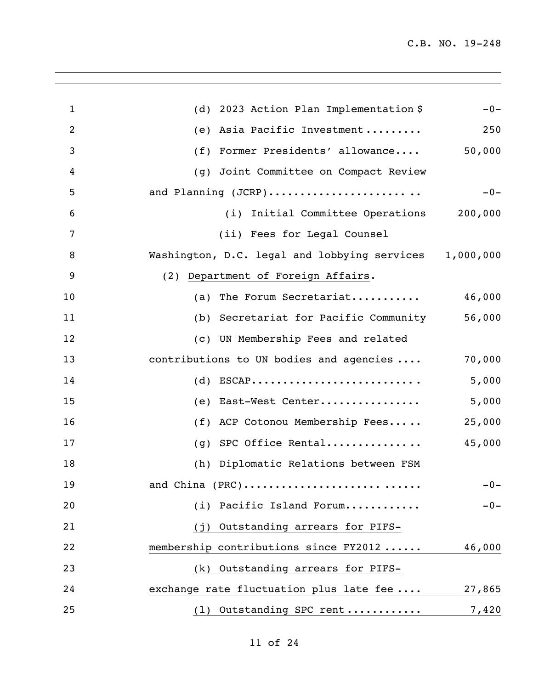| $\mathbf{1}$ | (d) 2023 Action Plan Implementation \$                 | $-0-$  |
|--------------|--------------------------------------------------------|--------|
| 2            | Asia Pacific Investment<br>(e)                         | 250    |
| 3            | Former Presidents' allowance<br>(f)                    | 50,000 |
| 4            | Joint Committee on Compact Review<br>(q)               |        |
| 5            | and Planning (JCRP)                                    | $-0-$  |
| 6            | (i) Initial Committee Operations 200,000               |        |
| 7            | (ii) Fees for Legal Counsel                            |        |
| 8            | Washington, D.C. legal and lobbying services 1,000,000 |        |
| 9            | (2) Department of Foreign Affairs.                     |        |
| 10           | (a) The Forum Secretariat                              | 46,000 |
| 11           | (b) Secretariat for Pacific Community                  | 56,000 |
| 12           | (c) UN Membership Fees and related                     |        |
| 13           | contributions to UN bodies and agencies                | 70,000 |
| 14           | $(d)$ ESCAP                                            | 5,000  |
| 15           | East-West Center<br>(e)                                | 5,000  |
| 16           | ACP Cotonou Membership Fees<br>(f)                     | 25,000 |
| 17           | SPC Office Rental<br>(g)                               | 45,000 |
| 18           | (h) Diplomatic Relations between FSM                   |        |
| 19           | and China (PRC)                                        | $-0-$  |
| 20           | (i) Pacific Island Forum                               | $-0-$  |
| 21           | (j) Outstanding arrears for PIFS-                      |        |
| 22           | membership contributions since FY2012                  | 46,000 |
| 23           | Outstanding arrears for PIFS-<br>(k)                   |        |
| 24           | exchange rate fluctuation plus late fee                | 27,865 |
| 25           | (1) Outstanding SPC rent                               | 7,420  |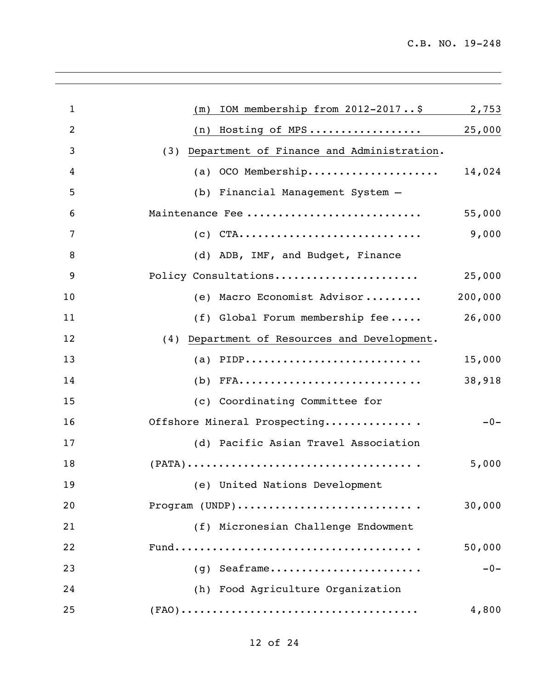| $\mathbf{1}$ | IOM membership from 2012-2017\$<br>(m)           | 2,753   |
|--------------|--------------------------------------------------|---------|
| 2            | Hosting of MPS<br>(n)                            | 25,000  |
| 3            | Department of Finance and Administration.<br>(3) |         |
| 4            | OCO Membership<br>(a)                            | 14,024  |
| 5            | Financial Management System -<br>(b)             |         |
| 6            | Maintenance Fee                                  | 55,000  |
| 7            | $CTA$<br>(c)                                     | 9,000   |
| 8            | (d) ADB, IMF, and Budget, Finance                |         |
| 9            | Policy Consultations                             | 25,000  |
| 10           | Macro Economist Advisor<br>(e)                   | 200,000 |
| 11           | (f) Global Forum membership fee                  | 26,000  |
| 12           | Department of Resources and Development.<br>(4)  |         |
| 13           | (a) $PIDP$                                       | 15,000  |
| 14           | (b)                                              | 38,918  |
| 15           | (c) Coordinating Committee for                   |         |
| 16           | Offshore Mineral Prospecting                     | $-0-$   |
| 17           | (d) Pacific Asian Travel Association             |         |
| 18           |                                                  | 5,000   |
| 19           | (e) United Nations Development                   |         |
| 20           | Program (UNDP)                                   | 30,000  |
| 21           | (f) Micronesian Challenge Endowment              |         |
| 22           |                                                  | 50,000  |
| 23           | $(q)$ Seaframe                                   | $-0-$   |
| 24           | (h) Food Agriculture Organization                |         |
| 25           |                                                  | 4,800   |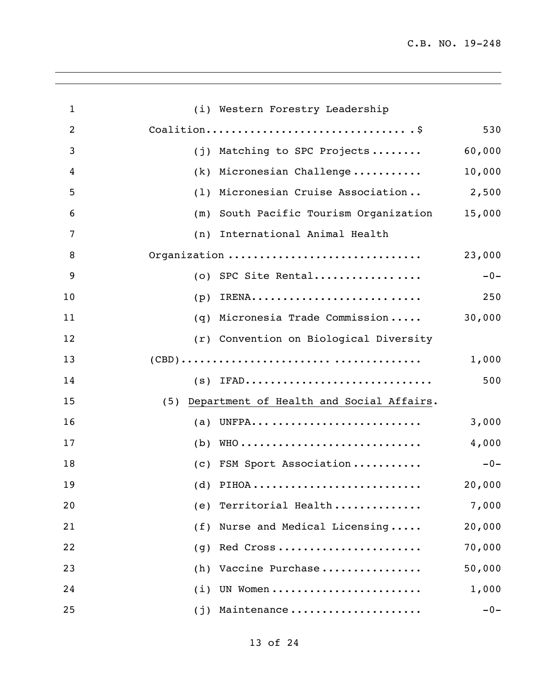| $\mathbf{1}$   | (i) Western Forestry Leadership                 |        |
|----------------|-------------------------------------------------|--------|
| $\overline{c}$ |                                                 | 530    |
| 3              | Matching to SPC Projects<br>(j)                 | 60,000 |
| 4              | Micronesian Challenge<br>(k)                    | 10,000 |
| 5              | Micronesian Cruise Association<br>(1)           | 2,500  |
| 6              | South Pacific Tourism Organization<br>(m)       | 15,000 |
| 7              | International Animal Health<br>(n)              |        |
| 8              | Organization                                    | 23,000 |
| 9              | SPC Site Rental<br>(0)                          | $-0-$  |
| 10             | IRENA<br>(p)                                    | 250    |
| 11             | Micronesia Trade Commission<br>(q)              | 30,000 |
| 12             | (r) Convention on Biological Diversity          |        |
| 13             |                                                 | 1,000  |
| 14             | $(s)$ IFAD                                      | 500    |
| 15             | Department of Health and Social Affairs.<br>(5) |        |
| 16             | UNFPA<br>(a)                                    | 3,000  |
| 17             | (b)                                             | 4,000  |
| 18             | (c) FSM Sport Association                       | $-0-$  |
| 19             | (d) PIHOA                                       | 20,000 |
| 20             | Territorial Health<br>(e)                       | 7,000  |
| 21             | Nurse and Medical Licensing<br>(f)              | 20,000 |
| 22             | Red Cross<br>(q)                                | 70,000 |
| 23             | Vaccine Purchase<br>(h)                         | 50,000 |
| 24             | UN Women<br>(i)                                 | 1,000  |
| 25             | Maintenance<br>(j)                              | $-0-$  |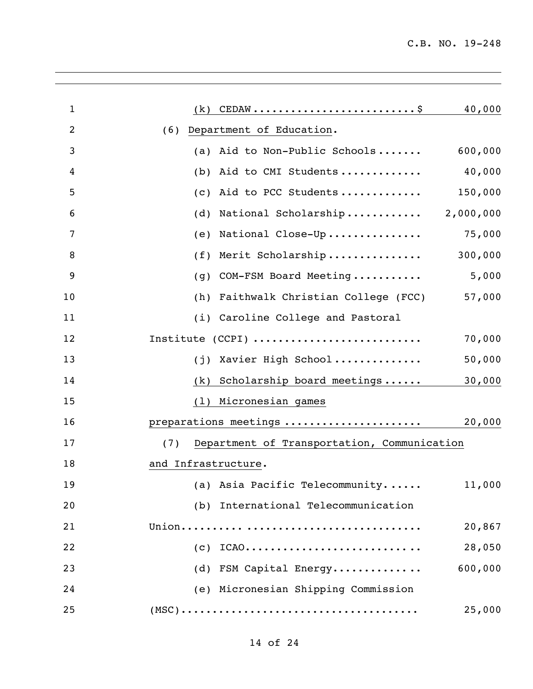| $\mathbf{1}$   | 40,000<br>(k)                                      |
|----------------|----------------------------------------------------|
| $\overline{2}$ | Department of Education.<br>(6)                    |
| 3              | 600,000<br>Aid to Non-Public Schools<br>(a)        |
| 4              | 40,000<br>Aid to CMI Students<br>(b)               |
| 5              | 150,000<br>Aid to PCC Students<br>(c)              |
| 6              | National Scholarship<br>2,000,000<br>(d)           |
| 7              | 75,000<br>National Close-Up<br>(e)                 |
| 8              | 300,000<br>Merit Scholarship<br>(f)                |
| 9              | 5,000<br>COM-FSM Board Meeting<br>(q)              |
| 10             | Faithwalk Christian College (FCC)<br>57,000<br>(h) |
| 11             | (i) Caroline College and Pastoral                  |
| 12             | Institute (CCPI)<br>70,000                         |
| 13             | Xavier High School<br>50,000<br>(i)                |
| 14             | Scholarship board meetings<br>30,000<br>(k)        |
| 15             | Micronesian games<br>(1)                           |
| 16             | preparations meetings<br>20,000                    |
| 17             | Department of Transportation, Communication<br>(7) |
| 18             | and Infrastructure.                                |
| 19             | (a) Asia Pacific Telecommunity<br>11,000           |
| 20             | (b) International Telecommunication                |
| 21             | 20,867                                             |
| 22             | 28,050<br>$(C)$ ICAO                               |
| 23             | 600,000<br>(d) FSM Capital Energy                  |
| 24             | (e) Micronesian Shipping Commission                |
| 25             | 25,000                                             |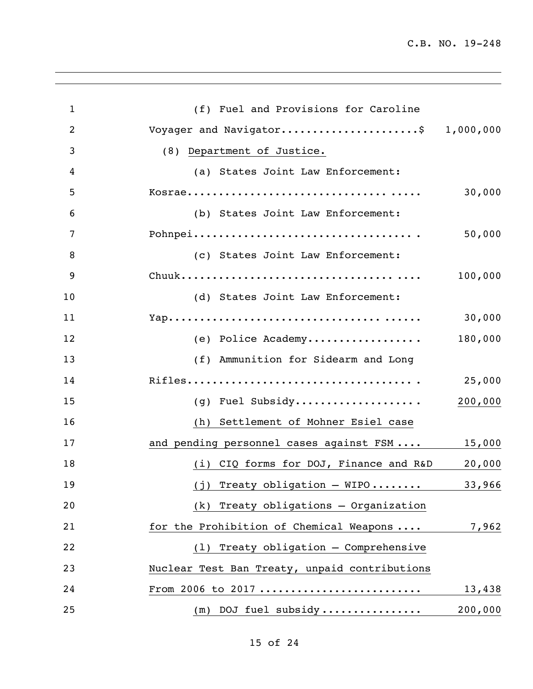| $\mathbf{1}$   | (f) Fuel and Provisions for Caroline          |         |
|----------------|-----------------------------------------------|---------|
| $\overline{2}$ | Voyager and Navigator\$ 1,000,000             |         |
| 3              | (8) Department of Justice.                    |         |
| 4              | (a) States Joint Law Enforcement:             |         |
| 5              |                                               | 30,000  |
| 6              | (b) States Joint Law Enforcement:             |         |
| 7              |                                               | 50,000  |
| 8              | (c) States Joint Law Enforcement:             |         |
| 9              |                                               | 100,000 |
| 10             | (d) States Joint Law Enforcement:             |         |
| 11             |                                               | 30,000  |
| 12             | (e) Police Academy                            | 180,000 |
| 13             | (f) Ammunition for Sidearm and Long           |         |
| 14             |                                               | 25,000  |
| 15             | (g) Fuel Subsidy                              | 200,000 |
| 16             | (h) Settlement of Mohner Esiel case           |         |
| 17             | and pending personnel cases against FSM       | 15,000  |
| 18             | (i) CIQ forms for DOJ, Finance and R&D        | 20,000  |
| 19             | (j) Treaty obligation $-$ WIPO                | 33,966  |
| 20             | (k) Treaty obligations - Organization         |         |
| 21             | for the Prohibition of Chemical Weapons       | 7,962   |
| 22             | Treaty obligation - Comprehensive<br>(1)      |         |
| 23             | Nuclear Test Ban Treaty, unpaid contributions |         |
| 24             | From 2006 to 2017                             | 13,438  |
| 25             | $(m)$ DOJ fuel subsidy                        | 200,000 |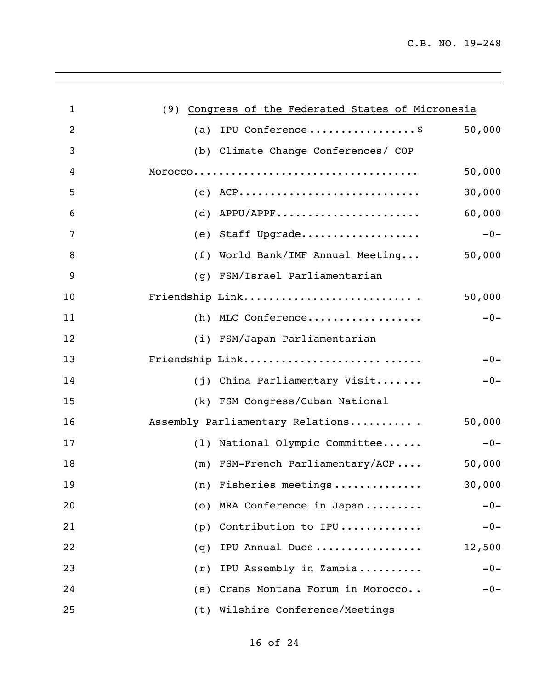| $\mathbf{1}$   | (9) Congress of the Federated States of Micronesia |
|----------------|----------------------------------------------------|
| $\overline{2}$ | 50,000<br>(a) IPU Conference\$                     |
| 3              | (b) Climate Change Conferences/ COP                |
| 4              | 50,000                                             |
| 5              | 30,000<br>$(C)$ ACP                                |
| 6              | 60,000<br>$(d)$ APPU/APPF                          |
| 7              | $-0-$<br>(e) Staff Upgrade                         |
| 8              | 50,000<br>(f) World Bank/IMF Annual Meeting        |
| 9              | (g) FSM/Israel Parliamentarian                     |
| 10             | Friendship Link<br>50,000                          |
| 11             | $-0-$<br>(h) MLC Conference                        |
| 12             | (i) FSM/Japan Parliamentarian                      |
| 13             | Friendship Link<br>$-0-$                           |
| 14             | (j) China Parliamentary Visit<br>$-0-$             |
| 15             | (k) FSM Congress/Cuban National                    |
| 16             | 50,000<br>Assembly Parliamentary Relations         |
| 17             | (1) National Olympic Committee<br>$-0-$            |
| 18             | (m) FSM-French Parliamentary/ACP<br>50,000         |
| 19             | (n) Fisheries meetings<br>30,000                   |
| 20             | MRA Conference in Japan<br>$-0-$<br>(0)            |
| 21             | Contribution to IPU<br>$-0-$<br>(p)                |
| 22             | IPU Annual Dues<br>12,500<br>(q)                   |
| 23             | IPU Assembly in Zambia<br>$-0-$<br>(r)             |
| 24             | Crans Montana Forum in Morocco<br>$-0-$<br>(s)     |
| 25             | (t) Wilshire Conference/Meetings                   |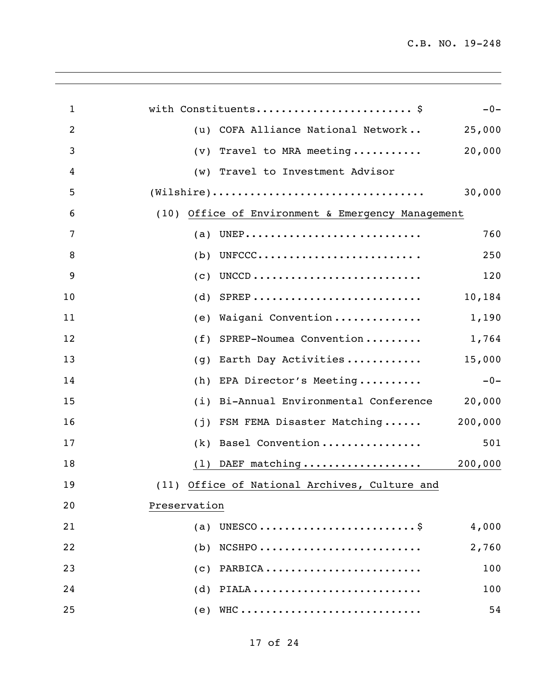| $\mathbf{1}$ | with Constituents \$<br>$-0-$                                                                     |
|--------------|---------------------------------------------------------------------------------------------------|
| 2            | (u) COFA Alliance National Network<br>25,000                                                      |
| 3            | 20,000<br>Travel to MRA meeting<br>(v)                                                            |
| 4            | Travel to Investment Advisor<br>(w)                                                               |
| 5            | $(\texttt{Wilshire}) \dots \dots \dots \dots \dots \dots \dots \dots \dots \dots \dots$<br>30,000 |
| 6            | (10) Office of Environment & Emergency Management                                                 |
| 7            | 760<br>(a)                                                                                        |
| 8            | UNFCCC<br>250<br>(b)                                                                              |
| 9            | 120<br>(c)                                                                                        |
| 10           | $SPREP$<br>10,184<br>(d)                                                                          |
| 11           | Waigani Convention<br>1,190<br>(e)                                                                |
| 12           | SPREP-Noumea Convention<br>1,764<br>(f)                                                           |
| 13           | 15,000<br>Earth Day Activities<br>(q)                                                             |
| 14           | EPA Director's Meeting<br>$-0-$<br>(h)                                                            |
| 15           | Bi-Annual Environmental Conference<br>20,000<br>(i)                                               |
| 16           | 200,000<br>FSM FEMA Disaster Matching<br>(j)                                                      |
| 17           | Basel Convention<br>501<br>(k)                                                                    |
| 18           | DAEF matching<br>200,000<br>(1)                                                                   |
| 19           | (11) Office of National Archives, Culture and                                                     |
| 20           | Preservation                                                                                      |
| 21           | 4,000<br>(a)                                                                                      |
| 22           | $NCSHPO$<br>2,760<br>(b)                                                                          |
| 23           | 100<br>(C)                                                                                        |
| 24           | $(d)$ PIALA<br>100                                                                                |
| 25           | $(e)$ WHC<br>54                                                                                   |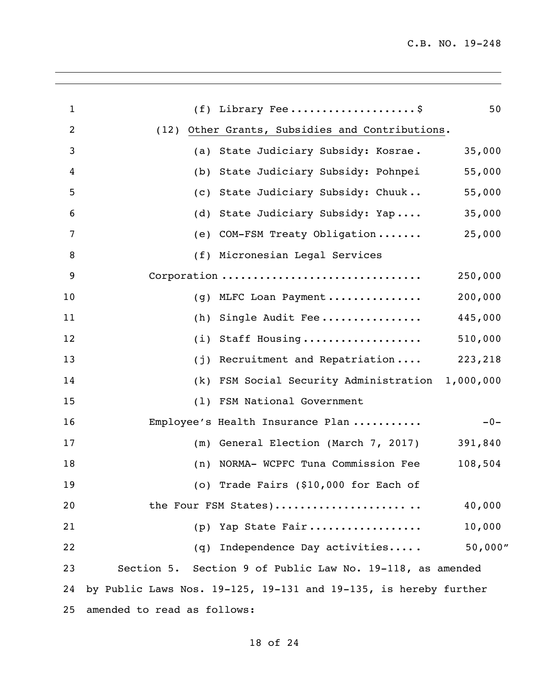| $\mathbf{1}$   | $(f)$ Library Fee\$                                              | 50      |
|----------------|------------------------------------------------------------------|---------|
| $\overline{c}$ | (12) Other Grants, Subsidies and Contributions.                  |         |
| 3              | State Judiciary Subsidy: Kosrae.<br>(a)                          | 35,000  |
| 4              | State Judiciary Subsidy: Pohnpei<br>(b)                          | 55,000  |
| 5              | State Judiciary Subsidy: Chuuk<br>(C)                            | 55,000  |
| 6              | State Judiciary Subsidy: Yap<br>(d)                              | 35,000  |
| 7              | COM-FSM Treaty Obligation<br>(e)                                 | 25,000  |
| 8              | (f) Micronesian Legal Services                                   |         |
| 9              | Corporation                                                      | 250,000 |
| 10             | MLFC Loan Payment<br>(q)                                         | 200,000 |
| 11             | Single Audit Fee<br>(h)                                          | 445,000 |
| 12             | Staff Housing<br>(i)                                             | 510,000 |
| 13             | Recruitment and Repatriation<br>(j)                              | 223,218 |
| 14             | FSM Social Security Administration 1,000,000<br>(k)              |         |
| 15             | FSM National Government<br>(1)                                   |         |
| 16             | Employee's Health Insurance Plan                                 | $-0-$   |
| 17             | General Election (March 7, 2017)<br>(m)                          | 391,840 |
| 18             | NORMA- WCPFC Tuna Commission Fee<br>(n)                          | 108,504 |
| 19             | (o) Trade Fairs (\$10,000 for Each of                            |         |
| 20             | the Four FSM States)                                             | 40,000  |
| 21             | Yap State Fair<br>(p)                                            | 10,000  |
| 22             | Independence Day activities<br>(q)                               | 50,000" |
| 23             | Section 5. Section 9 of Public Law No. 19-118, as amended        |         |
| 24             | by Public Laws Nos. 19-125, 19-131 and 19-135, is hereby further |         |
| 25             | amended to read as follows:                                      |         |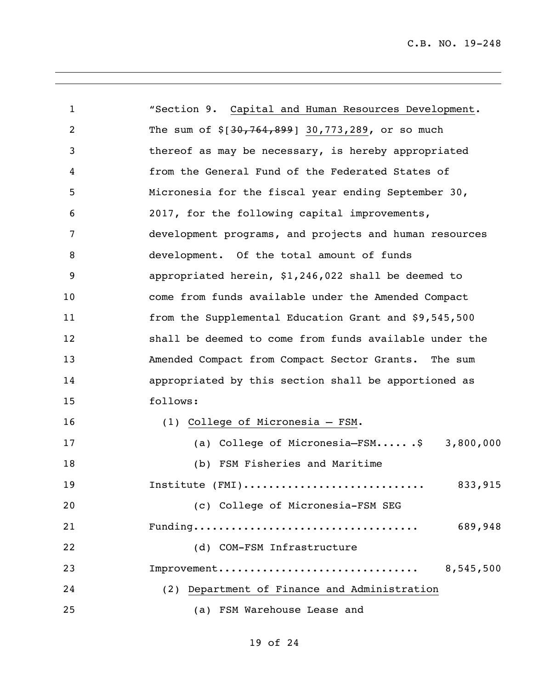| $\mathbf{1}$   | "Section 9. Capital and Human Resources Development.   |
|----------------|--------------------------------------------------------|
| $\overline{c}$ | The sum of $$[30, 764, 899]$ 30,773,289, or so much    |
| 3              | thereof as may be necessary, is hereby appropriated    |
| 4              | from the General Fund of the Federated States of       |
| 5              | Micronesia for the fiscal year ending September 30,    |
| 6              | 2017, for the following capital improvements,          |
| 7              | development programs, and projects and human resources |
| 8              | development. Of the total amount of funds              |
| 9              | appropriated herein, \$1,246,022 shall be deemed to    |
| 10             | come from funds available under the Amended Compact    |
| 11             | from the Supplemental Education Grant and \$9,545,500  |
| 12             | shall be deemed to come from funds available under the |
| 13             | Amended Compact from Compact Sector Grants. The sum    |
| 14             | appropriated by this section shall be apportioned as   |
| 15             | follows:                                               |
| 16             | (1) College of Micronesia - FSM.                       |
| 17             | (a) College of Micronesia-FSM\$ 3,800,000              |
| 18             | (b) FSM Fisheries and Maritime                         |
| 19             | 833,915<br>Institute (FMI)                             |
| 20             | (c) College of Micronesia-FSM SEG                      |
| 21             | 689,948                                                |
| 22             | (d) COM-FSM Infrastructure                             |
| 23             | Improvement<br>8,545,500                               |
| 24             | (2) Department of Finance and Administration           |
| 25             | (a) FSM Warehouse Lease and                            |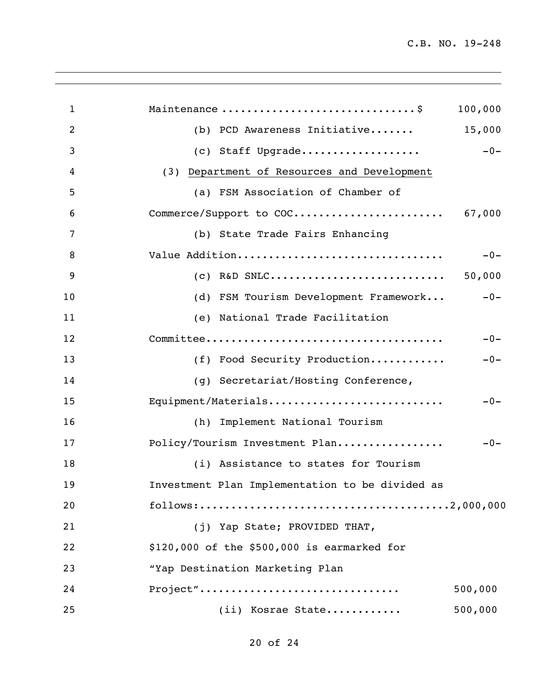| Maintenance  \$                                 | 100,000                                                          |
|-------------------------------------------------|------------------------------------------------------------------|
| (b) PCD Awareness Initiative                    | 15,000                                                           |
| (c) Staff Upgrade                               | $-0-$                                                            |
| (3) Department of Resources and Development     |                                                                  |
| (a) FSM Association of Chamber of               |                                                                  |
|                                                 | 67,000                                                           |
| (b) State Trade Fairs Enhancing                 |                                                                  |
| Value Addition                                  | $-0-$                                                            |
|                                                 | 50,000                                                           |
|                                                 | $-0-$                                                            |
| (e) National Trade Facilitation                 |                                                                  |
|                                                 | $-0-$                                                            |
| (f) Food Security Production                    | $-0-$                                                            |
| (g) Secretariat/Hosting Conference,             |                                                                  |
| Equipment/Materials                             | $-0-$                                                            |
| (h) Implement National Tourism                  |                                                                  |
| Policy/Tourism Investment Plan                  | $-0-$                                                            |
| (i) Assistance to states for Tourism            |                                                                  |
| Investment Plan Implementation to be divided as |                                                                  |
|                                                 |                                                                  |
| (j) Yap State; PROVIDED THAT,                   |                                                                  |
| \$120,000 of the \$500,000 is earmarked for     |                                                                  |
| "Yap Destination Marketing Plan                 |                                                                  |
| Project"                                        | 500,000                                                          |
| (ii) Kosrae State                               | 500,000                                                          |
|                                                 | Commerce/Support to COC<br>(d) FSM Tourism Development Framework |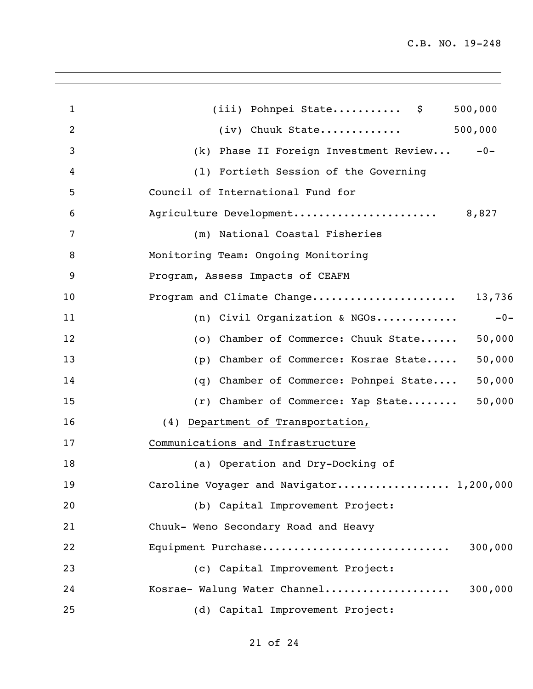| $\mathbf{1}$ | (iii) Pohnpei State \$<br>500,000                |
|--------------|--------------------------------------------------|
| 2            | 500,000<br>$(iv)$ Chuuk State                    |
| 3            | (k) Phase II Foreign Investment Review<br>$-0-$  |
| 4            | (1) Fortieth Session of the Governing            |
| 5            | Council of International Fund for                |
| 6            | Agriculture Development<br>8,827                 |
| 7            | (m) National Coastal Fisheries                   |
| 8            | Monitoring Team: Ongoing Monitoring              |
| 9            | Program, Assess Impacts of CEAFM                 |
| 10           | Program and Climate Change<br>13,736             |
| 11           | (n) Civil Organization & NGOs<br>$-0-$           |
| 12           | (o) Chamber of Commerce: Chuuk State<br>50,000   |
| 13           | (p) Chamber of Commerce: Kosrae State<br>50,000  |
| 14           | 50,000<br>(q) Chamber of Commerce: Pohnpei State |
| 15           | 50,000<br>(r) Chamber of Commerce: Yap State     |
| 16           | (4) Department of Transportation,                |
| 17           | Communications and Infrastructure                |
| 18           | (a) Operation and Dry-Docking of                 |
| 19           | Caroline Voyager and Navigator 1,200,000         |
| 20           | (b) Capital Improvement Project:                 |
| 21           | Chuuk- Weno Secondary Road and Heavy             |
| 22           | Equipment Purchase<br>300,000                    |
| 23           | (c) Capital Improvement Project:                 |
| 24           | Kosrae- Walung Water Channel<br>300,000          |
| 25           | (d) Capital Improvement Project:                 |
|              |                                                  |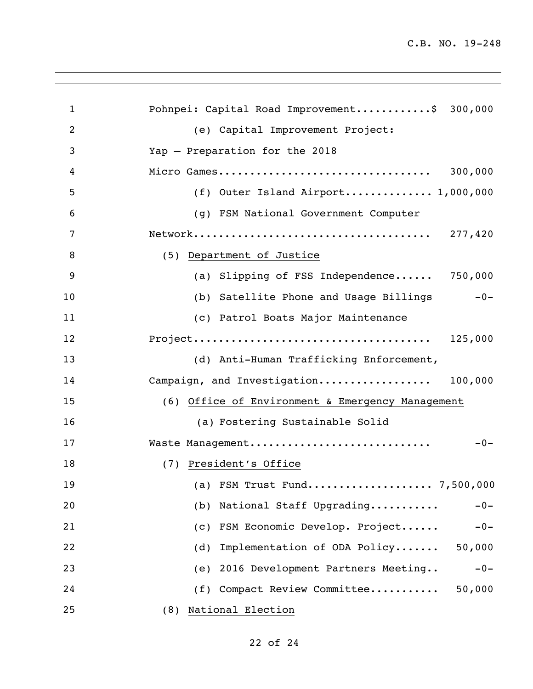| $\mathbf{1}$   | Pohnpei: Capital Road Improvement\$ 300,000                 |
|----------------|-------------------------------------------------------------|
| $\overline{2}$ | (e) Capital Improvement Project:                            |
| 3              | Yap - Preparation for the 2018                              |
| 4              | Micro Games<br>300,000                                      |
| 5              | (f) Outer Island Airport 1,000,000                          |
| 6              | (g) FSM National Government Computer                        |
| 7              |                                                             |
| 8              | (5) Department of Justice                                   |
| 9              | (a) Slipping of FSS Independence 750,000                    |
| 10             | (b) Satellite Phone and Usage Billings<br>$-0-$             |
| 11             | (c) Patrol Boats Major Maintenance                          |
| 12             |                                                             |
| 13             | (d) Anti-Human Trafficking Enforcement,                     |
| 14             | Campaign, and Investigation 100,000                         |
| 15             | (6) Office of Environment & Emergency Management            |
| 16             | (a) Fostering Sustainable Solid                             |
| 17             | Waste Management<br>$-0-$                                   |
| 18             | (7) President's Office                                      |
| 19             | (a) FSM Trust Fund 7,500,000                                |
| 20             | National Staff Upgrading<br>(b)<br>$-0-$                    |
| 21             | FSM Economic Develop. Project<br>$\left( c\right)$<br>$-0-$ |
| 22             | Implementation of ODA Policy<br>50,000<br>(d)               |
| 23             | (e) 2016 Development Partners Meeting<br>$-0-$              |
| 24             | (f) Compact Review Committee<br>50,000                      |
| 25             | National Election<br>(8)                                    |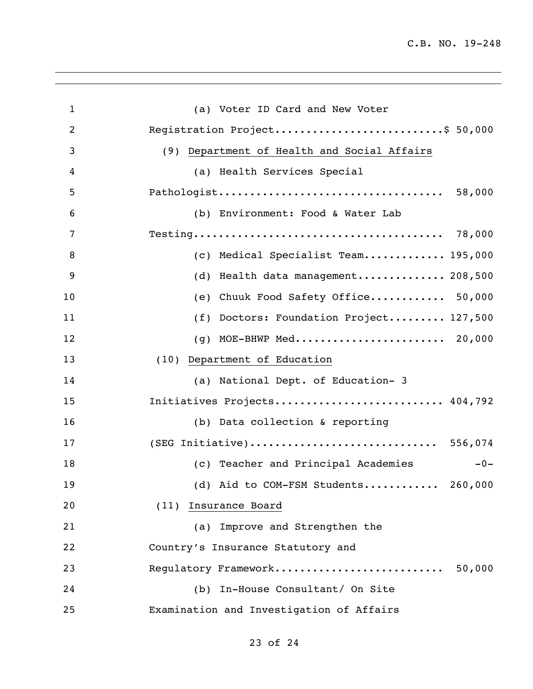| (a) Voter ID Card and New Voter              |
|----------------------------------------------|
| Registration Project\$ 50,000                |
| (9) Department of Health and Social Affairs  |
| (a) Health Services Special                  |
| 58,000                                       |
| (b) Environment: Food & Water Lab            |
|                                              |
| (c) Medical Specialist Team 195,000          |
| Health data management 208,500<br>(d)        |
| Chuuk Food Safety Office 50,000<br>(e)       |
| Doctors: Foundation Project 127,500<br>(f)   |
| MOE-BHWP Med 20,000<br>(q)                   |
| (10) Department of Education                 |
| (a) National Dept. of Education- 3           |
| Initiatives Projects 404,792                 |
| (b) Data collection & reporting              |
| (SEG Initiative) 556,074                     |
| (c) Teacher and Principal Academies<br>$-0-$ |
| (d) Aid to COM-FSM Students 260,000          |
| (11) Insurance Board                         |
| (a) Improve and Strengthen the               |
| Country's Insurance Statutory and            |
| Regulatory Framework<br>50,000               |
|                                              |
| (b) In-House Consultant/ On Site             |
|                                              |